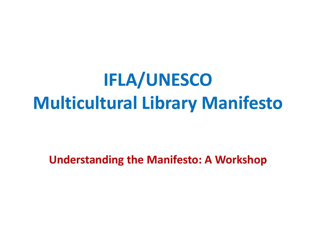**IFLA/UNESCO Multicultural Library Manifesto**

**Understanding the Manifesto: A Workshop**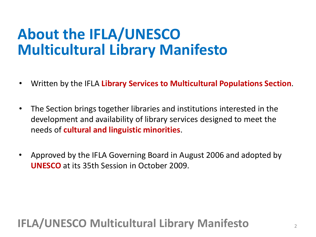# **About the IFLA/UNESCO Multicultural Library Manifesto**

- Written by the IFLA **Library Services to Multicultural Populations Section**.
- The Section brings together libraries and institutions interested in the development and availability of library services designed to meet the needs of **cultural and linguistic minorities**.
- Approved by the IFLA Governing Board in August 2006 and adopted by **UNESCO** at its 35th Session in October 2009.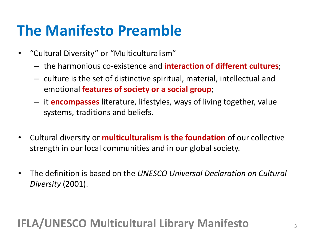## **The Manifesto Preamble**

- "Cultural Diversity" or "Multiculturalism"
	- the harmonious co-existence and **interaction of different cultures**;
	- culture is the set of distinctive spiritual, material, intellectual and emotional **features of society or a social group**;
	- it **encompasses** literature, lifestyles, ways of living together, value systems, traditions and beliefs.
- Cultural diversity or **multiculturalism is the foundation** of our collective strength in our local communities and in our global society.
- The definition is based on the *UNESCO Universal Declaration on Cultural Diversity* (2001).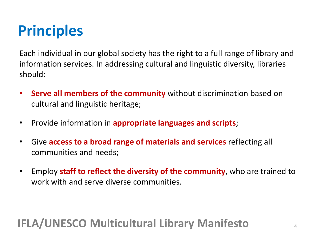## **Principles**

Each individual in our global society has the right to a full range of library and information services. In addressing cultural and linguistic diversity, libraries should:

- **Serve all members of the community** without discrimination based on cultural and linguistic heritage;
- Provide information in **appropriate languages and scripts**;
- Give **access to a broad range of materials and services** reflecting all communities and needs;
- Employ **staff to reflect the diversity of the community**, who are trained to work with and serve diverse communities.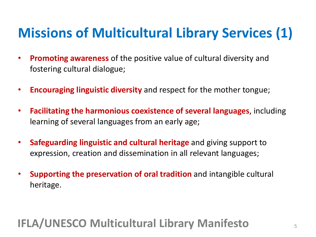# **Missions of Multicultural Library Services (1)**

- **Promoting awareness** of the positive value of cultural diversity and fostering cultural dialogue;
- **Encouraging linguistic diversity** and respect for the mother tongue;
- **Facilitating the harmonious coexistence of several languages**, including learning of several languages from an early age;
- **Safeguarding linguistic and cultural heritage** and giving support to expression, creation and dissemination in all relevant languages;
- **Supporting the preservation of oral tradition** and intangible cultural heritage.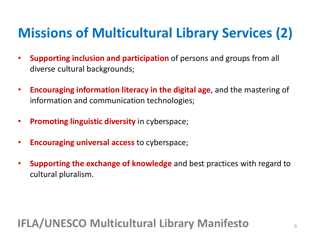# **Missions of Multicultural Library Services (2)**

- **Supporting inclusion and participation** of persons and groups from all diverse cultural backgrounds;
- **Encouraging information literacy in the digital age**, and the mastering of information and communication technologies;
- **Promoting linguistic diversity** in cyberspace;
- **Encouraging universal access** to cyberspace;
- **Supporting the exchange of knowledge** and best practices with regard to cultural pluralism.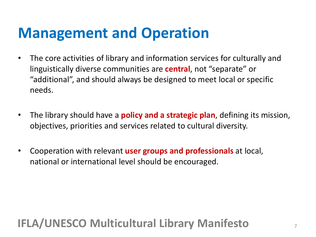### **Management and Operation**

- The core activities of library and information services for culturally and linguistically diverse communities are **central**, not "separate" or "additional", and should always be designed to meet local or specific needs.
- The library should have a **policy and a strategic plan**, defining its mission, objectives, priorities and services related to cultural diversity.
- Cooperation with relevant **user groups and professionals** at local, national or international level should be encouraged.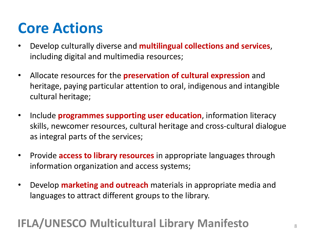## **Core Actions**

- Develop culturally diverse and **multilingual collections and services**, including digital and multimedia resources;
- Allocate resources for the **preservation of cultural expression** and heritage, paying particular attention to oral, indigenous and intangible cultural heritage;
- Include **programmes supporting user education**, information literacy skills, newcomer resources, cultural heritage and cross-cultural dialogue as integral parts of the services;
- Provide **access to library resources** in appropriate languages through information organization and access systems;
- Develop **marketing and outreach** materials in appropriate media and languages to attract different groups to the library.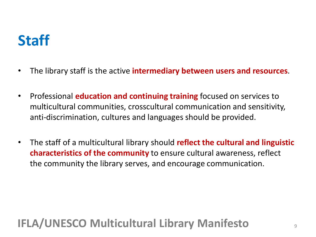## **Staff**

- The library staff is the active **intermediary between users and resources**.
- Professional **education and continuing training** focused on services to multicultural communities, crosscultural communication and sensitivity, anti-discrimination, cultures and languages should be provided.
- The staff of a multicultural library should **reflect the cultural and linguistic characteristics of the community** to ensure cultural awareness, reflect the community the library serves, and encourage communication.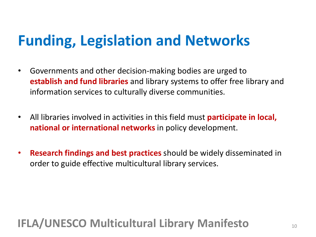## **Funding, Legislation and Networks**

- Governments and other decision-making bodies are urged to **establish and fund libraries** and library systems to offer free library and information services to culturally diverse communities.
- All libraries involved in activities in this field must **participate in local, national or international networks** in policy development.
- **Research findings and best practices** should be widely disseminated in order to guide effective multicultural library services.